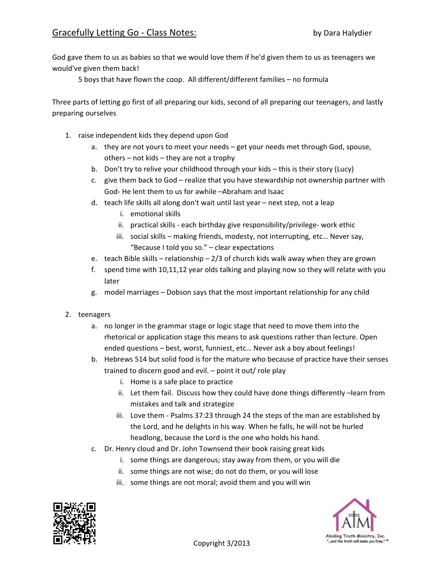God gave them to us as babies so that we would love them if he'd given them to us as teenagers we would've given them back!

5 boys that have flown the coop. All different/different families – no formula

Three parts of letting go first of all preparing our kids, second of all preparing our teenagers, and lastly preparing ourselves

- 1. raise independent kids they depend upon God
	- a. they are not yours to meet your needs get your needs met through God, spouse, others – not kids – they are not a trophy
	- b. Don't try to relive your childhood through your kids this is their story (Lucy)
	- c. give them back to God realize that you have stewardship not ownership partner with God‐ He lent them to us for awhile –Abraham and Isaac
	- d. teach life skills all along don't wait until last year next step, not a leap
		- i. emotional skills
		- ii. practical skills each birthday give responsibility/privilege- work ethic
		- iii. social skills making friends, modesty, not interrupting, etc… Never say, "Because I told you so." – clear expectations
	- e. teach Bible skills relationship  $2/3$  of church kids walk away when they are grown
	- f. spend time with 10,11,12 year olds talking and playing now so they will relate with you later
	- g. model marriages Dobson says that the most important relationship for any child
- 2. teenagers
	- a. no longer in the grammar stage or logic stage that need to move them into the rhetorical or application stage this means to ask questions rather than lecture. Open ended questions – best, worst, funniest, etc… Never ask a boy about feelings!
	- b. Hebrews 514 but solid food is for the mature who because of practice have their senses trained to discern good and evil. – point it out/ role play
		- i. Home is a safe place to practice
		- ii. Let them fail. Discuss how they could have done things differently –learn from mistakes and talk and strategize
		- iii. Love them ‐ Psalms 37:23 through 24 the steps of the man are established by the Lord, and he delights in his way. When he falls, he will not be hurled headlong, because the Lord is the one who holds his hand.
	- c. Dr. Henry cloud and Dr. John Townsend their book raising great kids
		- i. some things are dangerous; stay away from them, or you will die
		- ii. some things are not wise; do not do them, or you will lose
		- iii. some things are not moral; avoid them and you will win



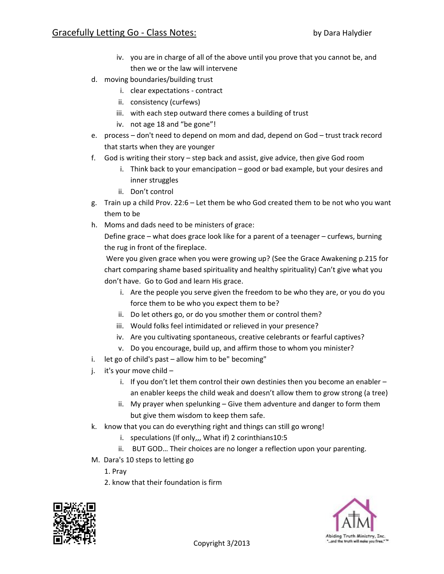- iv. you are in charge of all of the above until you prove that you cannot be, and then we or the law will intervene
- d. moving boundaries/building trust
	- i. clear expectations ‐ contract
	- ii. consistency (curfews)
	- iii. with each step outward there comes a building of trust
	- iv. not age 18 and "be gone"!
- e. process don't need to depend on mom and dad, depend on God trust track record that starts when they are younger
- f. God is writing their story step back and assist, give advice, then give God room
	- i. Think back to your emancipation good or bad example, but your desires and inner struggles
	- ii. Don't control
- g. Train up a child Prov. 22:6 Let them be who God created them to be not who you want them to be
- h. Moms and dads need to be ministers of grace:

Define grace – what does grace look like for a parent of a teenager – curfews, burning the rug in front of the fireplace.

Were you given grace when you were growing up? (See the Grace Awakening p.215 for chart comparing shame based spirituality and healthy spirituality) Can't give what you don't have. Go to God and learn His grace.

- i. Are the people you serve given the freedom to be who they are, or you do you force them to be who you expect them to be?
- ii. Do let others go, or do you smother them or control them?
- iii. Would folks feel intimidated or relieved in your presence?
- iv. Are you cultivating spontaneous, creative celebrants or fearful captives?
- v. Do you encourage, build up, and affirm those to whom you minister?
- i. let go of child's past allow him to be" becoming"
- j. it's your move child
	- i. If you don't let them control their own destinies then you become an enabler an enabler keeps the child weak and doesn't allow them to grow strong (a tree)
	- ii. My prayer when spelunking Give them adventure and danger to form them but give them wisdom to keep them safe.
- k. know that you can do everything right and things can still go wrong!
	- i. speculations (If only,,, What if) 2 corinthians10:5
	- ii. BUT GOD… Their choices are no longer a reflection upon your parenting.
- M. Dara's 10 steps to letting go
	- 1. Pray
	- 2. know that their foundation is firm